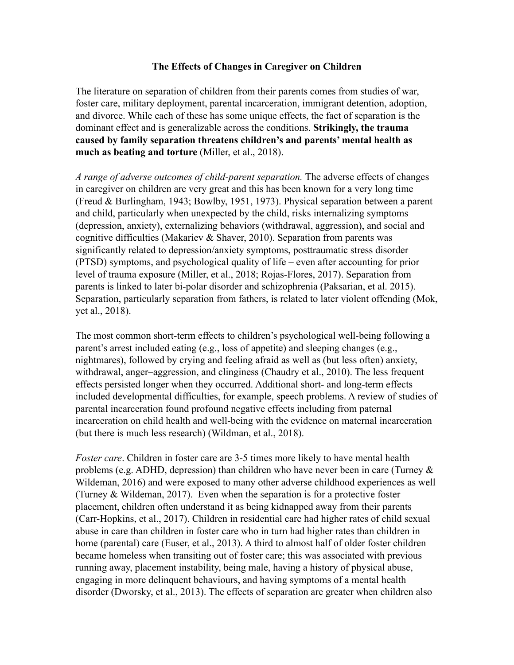## **The Effects of Changes in Caregiver on Children**

The literature on separation of children from their parents comes from studies of war, foster care, military deployment, parental incarceration, immigrant detention, adoption, and divorce. While each of these has some unique effects, the fact of separation is the dominant effect and is generalizable across the conditions. **Strikingly, the trauma caused by family separation threatens children's and parents' mental health as much as beating and torture** (Miller, et al., 2018).

*A range of adverse outcomes of child-parent separation.* The adverse effects of changes in caregiver on children are very great and this has been known for a very long time (Freud & Burlingham, 1943; Bowlby, 1951, 1973). Physical separation between a parent and child, particularly when unexpected by the child, risks internalizing symptoms (depression, anxiety), externalizing behaviors (withdrawal, aggression), and social and cognitive difficulties (Makariev & Shaver, 2010). Separation from parents was significantly related to depression/anxiety symptoms, posttraumatic stress disorder (PTSD) symptoms, and psychological quality of life – even after accounting for prior level of trauma exposure (Miller, et al., 2018; Rojas-Flores, 2017). Separation from parents is linked to later bi-polar disorder and schizophrenia (Paksarian, et al. 2015). Separation, particularly separation from fathers, is related to later violent offending (Mok, yet al., 2018).

The most common short-term effects to children's psychological well-being following a parent's arrest included eating (e.g., loss of appetite) and sleeping changes (e.g., nightmares), followed by crying and feeling afraid as well as (but less often) anxiety, withdrawal, anger–aggression, and clinginess (Chaudry et al., 2010). The less frequent effects persisted longer when they occurred. Additional short- and long-term effects included developmental difficulties, for example, speech problems. A review of studies of parental incarceration found profound negative effects including from paternal incarceration on child health and well-being with the evidence on maternal incarceration (but there is much less research) (Wildman, et al., 2018).

*Foster care*. Children in foster care are 3-5 times more likely to have mental health problems (e.g. ADHD, depression) than children who have never been in care (Turney & Wildeman, 2016) and were exposed to many other adverse childhood experiences as well (Turney & Wildeman, 2017). Even when the separation is for a protective foster placement, children often understand it as being kidnapped away from their parents (Carr-Hopkins, et al., 2017). Children in residential care had higher rates of child sexual abuse in care than children in foster care who in turn had higher rates than children in home (parental) care (Euser, et al., 2013). A third to almost half of older foster children became homeless when transiting out of foster care; this was associated with previous running away, placement instability, being male, having a history of physical abuse, engaging in more delinquent behaviours, and having symptoms of a mental health disorder (Dworsky, et al., 2013). The effects of separation are greater when children also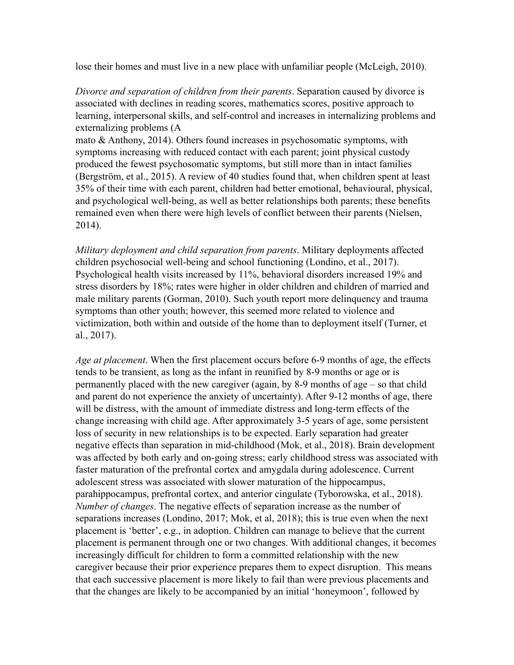lose their homes and must live in a new place with unfamiliar people (McLeigh, 2010).

*Divorce and separation of children from their parents*. Separation caused by divorce is associated with declines in reading scores, mathematics scores, positive approach to learning, interpersonal skills, and self-control and increases in internalizing problems and externalizing problems (A

mato & Anthony, 2014). Others found increases in psychosomatic symptoms, with symptoms increasing with reduced contact with each parent; joint physical custody produced the fewest psychosomatic symptoms, but still more than in intact families (Bergström, et al., 2015). A review of 40 studies found that, when children spent at least 35% of their time with each parent, children had better emotional, behavioural, physical, and psychological well-being, as well as better relationships both parents; these benefits remained even when there were high levels of conflict between their parents (Nielsen, 2014).

*Military deployment and child separation from parents*. Military deployments affected children psychosocial well-being and school functioning (Londino, et al., 2017). Psychological health visits increased by 11%, behavioral disorders increased 19% and stress disorders by 18%; rates were higher in older children and children of married and male military parents (Gorman, 2010). Such youth report more delinquency and trauma symptoms than other youth; however, this seemed more related to violence and victimization, both within and outside of the home than to deployment itself (Turner, et al., 2017).

*Age at placement*. When the first placement occurs before 6-9 months of age, the effects tends to be transient, as long as the infant in reunified by 8-9 months or age or is permanently placed with the new caregiver (again, by 8-9 months of age – so that child and parent do not experience the anxiety of uncertainty). After 9-12 months of age, there will be distress, with the amount of immediate distress and long-term effects of the change increasing with child age. After approximately 3-5 years of age, some persistent loss of security in new relationships is to be expected. Early separation had greater negative effects than separation in mid-childhood (Mok, et al., 2018). Brain development was affected by both early and on-going stress; early childhood stress was associated with faster maturation of the prefrontal cortex and amygdala during adolescence. Current adolescent stress was associated with slower maturation of the hippocampus, parahippocampus, prefrontal cortex, and anterior cingulate (Tyborowska, et al., 2018). *Number of changes*. The negative effects of separation increase as the number of separations increases (Londino, 2017; Mok, et al, 2018); this is true even when the next placement is 'better', e.g., in adoption. Children can manage to believe that the current placement is permanent through one or two changes. With additional changes, it becomes increasingly difficult for children to form a committed relationship with the new caregiver because their prior experience prepares them to expect disruption. This means that each successive placement is more likely to fail than were previous placements and that the changes are likely to be accompanied by an initial 'honeymoon', followed by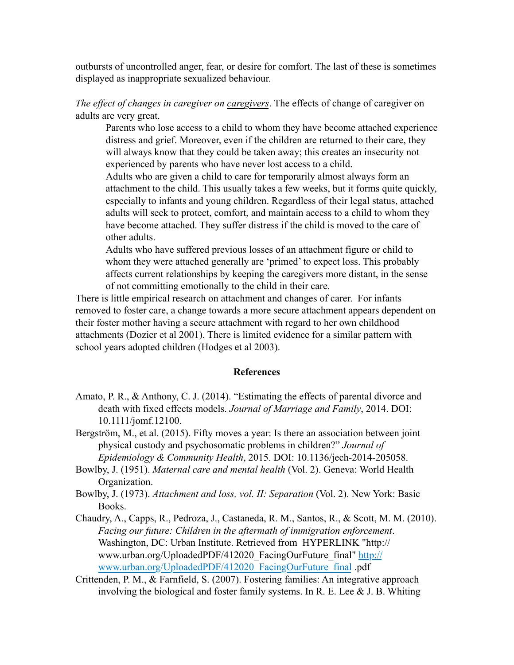outbursts of uncontrolled anger, fear, or desire for comfort. The last of these is sometimes displayed as inappropriate sexualized behaviour.

*The effect of changes in caregiver on caregivers*. The effects of change of caregiver on adults are very great.

Parents who lose access to a child to whom they have become attached experience distress and grief. Moreover, even if the children are returned to their care, they will always know that they could be taken away; this creates an insecurity not experienced by parents who have never lost access to a child.

Adults who are given a child to care for temporarily almost always form an attachment to the child. This usually takes a few weeks, but it forms quite quickly, especially to infants and young children. Regardless of their legal status, attached adults will seek to protect, comfort, and maintain access to a child to whom they have become attached. They suffer distress if the child is moved to the care of other adults.

Adults who have suffered previous losses of an attachment figure or child to whom they were attached generally are 'primed' to expect loss. This probably affects current relationships by keeping the caregivers more distant, in the sense of not committing emotionally to the child in their care.

There is little empirical research on attachment and changes of carer. For infants removed to foster care, a change towards a more secure attachment appears dependent on their foster mother having a secure attachment with regard to her own childhood attachments (Dozier et al 2001). There is limited evidence for a similar pattern with school years adopted children (Hodges et al 2003).

## **References**

- Amato, P. R., & Anthony, C. J. (2014). "Estimating the effects of parental divorce and death with fixed effects models. *Journal of Marriage and Family*, 2014. DOI: 10.1111/jomf.12100.
- Bergström, M., et al. (2015). Fifty moves a year: Is there an association between joint physical custody and psychosomatic problems in children?" *Journal of Epidemiology & Community Health*, 2015. DOI: 10.1136/jech-2014-205058.
- Bowlby, J. (1951). *Maternal care and mental health* (Vol. 2). Geneva: World Health Organization.
- Bowlby, J. (1973). *Attachment and loss, vol. II: Separation* (Vol. 2). New York: Basic Books.
- Chaudry, A., Capps, R., Pedroza, J., Castaneda, R. M., Santos, R., & Scott, M. M. (2010). *Facing our future: Children in the aftermath of immigration enforcement*. Washington, DC: Urban Institute. Retrieved from HYPERLINK "http:// www.urban.org/UploadedPDF/412020\_FacingOurFuture\_final" http:// www.urban.org/UploadedPDF/412020\_FacingOurFuture\_final .pdf
- Crittenden, P. M., & Farnfield, S. (2007). Fostering families: An integrative approach involving the biological and foster family systems. In R. E. Lee  $&$  J. B. Whiting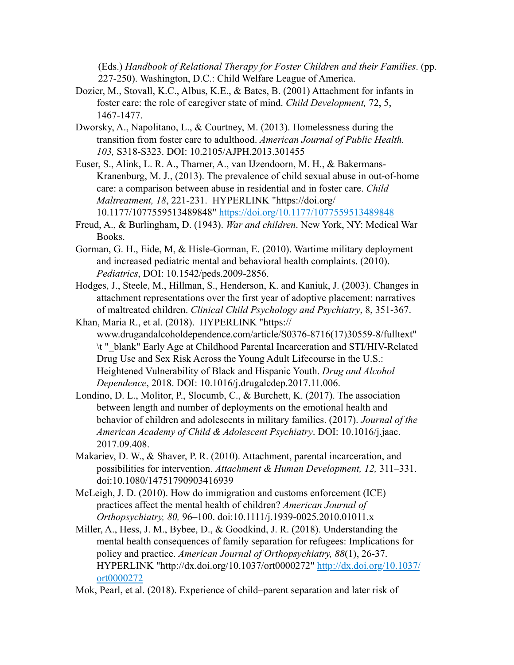(Eds.) *Handbook of Relational Therapy for Foster Children and their Families*. (pp. 227-250). Washington, D.C.: Child Welfare League of America.

- Dozier, M., Stovall, K.C., Albus, K.E., & Bates, B. (2001) Attachment for infants in foster care: the role of caregiver state of mind. *Child Development,* 72, 5, 1467-1477.
- Dworsky, A., Napolitano, L., & Courtney, M. (2013). Homelessness during the transition from foster care to adulthood. *American Journal of Public Health. 103,* S318-S323. DOI: 10.2105/AJPH.2013.301455
- Euser, S., Alink, L. R. A., Tharner, A., van IJzendoorn, M. H., & Bakermans-Kranenburg, M. J., (2013). The prevalence of child sexual abuse in out-of-home care: a comparison between abuse in residential and in foster care. *Child Maltreatment, 18*, 221-231. HYPERLINK "https://doi.org/ 10.1177/1077559513489848" https://doi.org/10.1177/1077559513489848
- Freud, A., & Burlingham, D. (1943). *War and children*. New York, NY: Medical War Books.
- Gorman, G. H., Eide, M, & Hisle-Gorman, E. (2010). Wartime military deployment and increased pediatric mental and behavioral health complaints. (2010). *Pediatrics*, DOI: 10.1542/peds.2009-2856.
- Hodges, J., Steele, M., Hillman, S., Henderson, K. and Kaniuk, J. (2003). Changes in attachment representations over the first year of adoptive placement: narratives of maltreated children. *Clinical Child Psychology and Psychiatry*, 8, 351-367.
- Khan, Maria R., et al. (2018). HYPERLINK "https:// www.drugandalcoholdependence.com/article/S0376-8716(17)30559-8/fulltext" \t "\_blank" Early Age at Childhood Parental Incarceration and STI/HIV-Related Drug Use and Sex Risk Across the Young Adult Lifecourse in the U.S.: Heightened Vulnerability of Black and Hispanic Youth. *Drug and Alcohol Dependence*, 2018. DOI: 10.1016/j.drugalcdep.2017.11.006.
- Londino, D. L., Molitor, P., Slocumb, C., & Burchett, K. (2017). The association between length and number of deployments on the emotional health and behavior of children and adolescents in military families. (2017). *Journal of the American Academy of Child & Adolescent Psychiatry*. DOI: 10.1016/j.jaac. 2017.09.408.
- Makariev, D. W., & Shaver, P. R. (2010). Attachment, parental incarceration, and possibilities for intervention. *Attachment & Human Development, 12,* 311–331. doi:10.1080/14751790903416939
- McLeigh, J. D. (2010). How do immigration and customs enforcement (ICE) practices affect the mental health of children? *American Journal of Orthopsychiatry, 80,* 96–100. doi:10.1111/j.1939-0025.2010.01011.x
- Miller, A., Hess, J. M., Bybee, D., & Goodkind, J. R. (2018). Understanding the mental health consequences of family separation for refugees: Implications for policy and practice. *American Journal of Orthopsychiatry, 88*(1), 26-37. HYPERLINK "http://dx.doi.org/10.1037/ort0000272" http://dx.doi.org/10.1037/ ort0000272
- Mok, Pearl, et al. (2018). Experience of child–parent separation and later risk of